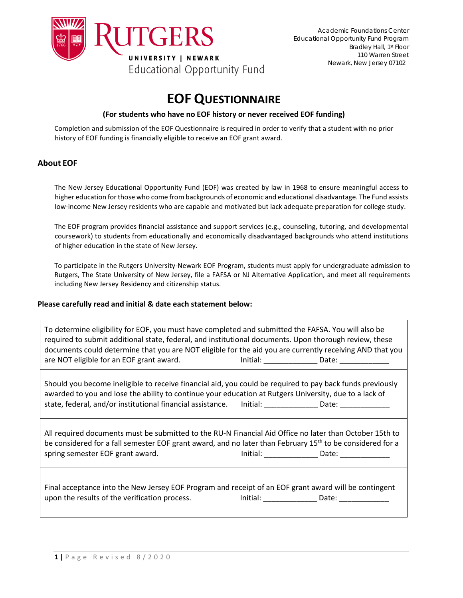

# **EOF QUESTIONNAIRE**

### **(For students who have no EOF history or never received EOF funding)**

Completion and submission of the EOF Questionnaire is required in order to verify that a student with no prior history of EOF funding is financially eligible to receive an EOF grant award.

### **About EOF**

The New Jersey Educational Opportunity Fund (EOF) was created by law in 1968 to ensure meaningful access to higher education for those who come from backgrounds of economic and educational disadvantage. The Fund assists low-income New Jersey residents who are capable and motivated but lack adequate preparation for college study.

The EOF program provides financial assistance and support services (e.g., counseling, tutoring, and developmental coursework) to students from educationally and economically disadvantaged backgrounds who attend institutions of higher education in the state of New Jersey.

To participate in the Rutgers University-Newark EOF Program, students must apply for undergraduate admission to Rutgers, The State University of New Jersey, file a FAFSA or NJ Alternative Application, and meet all requirements including New Jersey Residency and citizenship status.

### **Please carefully read and initial & date each statement below:**

To determine eligibility for EOF, you must have completed and submitted the FAFSA. You will also be required to submit additional state, federal, and institutional documents. Upon thorough review, these documents could determine that you are NOT eligible for the aid you are currently receiving AND that you are NOT eligible for an EOF grant award. The solution of the linitial: The Date:

Should you become ineligible to receive financial aid, you could be required to pay back funds previously awarded to you and lose the ability to continue your education at Rutgers University, due to a lack of state, federal, and/or institutional financial assistance. \_\_\_\_\_\_\_\_\_\_\_\_\_\_\_\_\_\_\_\_\_\_\_\_\_Date:

All required documents must be submitted to the RU-N Financial Aid Office no later than October 15th to be considered for a fall semester EOF grant award, and no later than February 15<sup>th</sup> to be considered for a spring semester EOF grant award. The limitial: contract and a particle contract of the limitial: contract and  $\frac{1}{2}$ 

Final acceptance into the New Jersey EOF Program and receipt of an EOF grant award will be contingent upon the results of the verification process. Initial: \_\_\_\_\_\_\_\_\_\_\_\_\_ Date: \_\_\_\_\_\_\_\_\_\_\_\_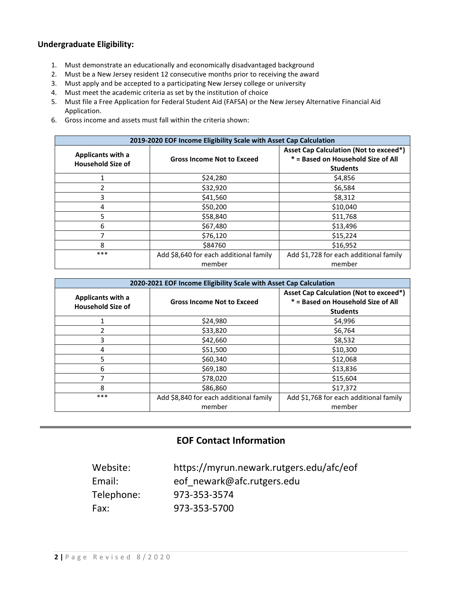## **Undergraduate Eligibility:**

- 1. Must demonstrate an educationally and economically disadvantaged background
- 2. Must be a New Jersey resident 12 consecutive months prior to receiving the award
- 3. Must apply and be accepted to a participating New Jersey college or university
- 4. Must meet the academic criteria as set by the institution of choice
- 5. Must file a Free Application for Federal Student Aid (FAFSA) or the New Jersey Alternative Financial Aid Application.
- 6. Gross income and assets must fall within the criteria shown:

| 2019-2020 EOF Income Eligibility Scale with Asset Cap Calculation |                                                  |                                                                                                        |  |  |  |
|-------------------------------------------------------------------|--------------------------------------------------|--------------------------------------------------------------------------------------------------------|--|--|--|
| <b>Applicants with a</b><br><b>Household Size of</b>              | <b>Gross Income Not to Exceed</b>                | <b>Asset Cap Calculation (Not to exceed*)</b><br>* = Based on Household Size of All<br><b>Students</b> |  |  |  |
|                                                                   | \$24,280                                         | \$4,856                                                                                                |  |  |  |
|                                                                   | \$32,920                                         | \$6,584                                                                                                |  |  |  |
| 3                                                                 | \$41,560                                         | \$8,312                                                                                                |  |  |  |
| 4                                                                 | \$50,200                                         | \$10,040                                                                                               |  |  |  |
| 5                                                                 | \$58,840                                         | \$11,768                                                                                               |  |  |  |
| 6                                                                 | \$67,480                                         | \$13,496                                                                                               |  |  |  |
|                                                                   | \$76,120                                         | \$15,224                                                                                               |  |  |  |
| 8                                                                 | \$84760                                          | \$16,952                                                                                               |  |  |  |
| ***                                                               | Add \$8,640 for each additional family<br>member | Add \$1,728 for each additional family<br>member                                                       |  |  |  |

| 2020-2021 EOF Income Eligibility Scale with Asset Cap Calculation |                                                  |                                                                                                        |  |  |
|-------------------------------------------------------------------|--------------------------------------------------|--------------------------------------------------------------------------------------------------------|--|--|
| Applicants with a<br><b>Household Size of</b>                     | <b>Gross Income Not to Exceed</b>                | <b>Asset Cap Calculation (Not to exceed*)</b><br>* = Based on Household Size of All<br><b>Students</b> |  |  |
|                                                                   | \$24,980                                         | \$4,996                                                                                                |  |  |
| 2                                                                 | \$33,820                                         | \$6,764                                                                                                |  |  |
| 3                                                                 | \$42,660                                         | \$8,532                                                                                                |  |  |
| 4                                                                 | \$51,500                                         | \$10,300                                                                                               |  |  |
| 5                                                                 | \$60,340                                         | \$12,068                                                                                               |  |  |
| 6                                                                 | \$69,180                                         | \$13,836                                                                                               |  |  |
| 7                                                                 | \$78,020                                         | \$15,604                                                                                               |  |  |
| 8                                                                 | \$86,860                                         | \$17,372                                                                                               |  |  |
| ***                                                               | Add \$8,840 for each additional family<br>member | Add \$1,768 for each additional family<br>member                                                       |  |  |

## **EOF Contact Information**

| Website:   | https://myrun.newark.rutgers.edu/afc/eof |
|------------|------------------------------------------|
| Email:     | eof newark@afc.rutgers.edu               |
| Telephone: | 973-353-3574                             |
| Fax:       | 973-353-5700                             |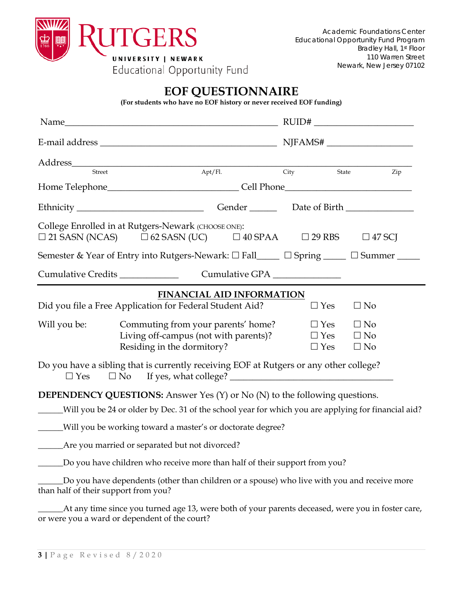

# **EOF QUESTIONNAIRE**

**(For students who have no EOF history or never received EOF funding)** 

| $\mbox{Address}\underline{\qquad \qquad }$                                                                              |                                                                                                           |                                                  | City |                                        |                                     |  |  |
|-------------------------------------------------------------------------------------------------------------------------|-----------------------------------------------------------------------------------------------------------|--------------------------------------------------|------|----------------------------------------|-------------------------------------|--|--|
|                                                                                                                         |                                                                                                           |                                                  |      | State                                  | Zip                                 |  |  |
| Ethnicity ___________________________________Gender ______________Date of Birth ____________________                    |                                                                                                           |                                                  |      |                                        |                                     |  |  |
| College Enrolled in at Rutgers-Newark (CHOOSE ONE):<br>$\square$ 21 SASN (NCAS)                                         |                                                                                                           | $\Box$ 62 SASN (UC) $\Box$ 40 SPAA $\Box$ 29 RBS |      |                                        | $\Box$ 47 SCJ                       |  |  |
| Semester & Year of Entry into Rutgers-Newark: □ Fall_____ □ Spring _____ □ Summer ____                                  |                                                                                                           |                                                  |      |                                        |                                     |  |  |
| Cumulative Credits _______________                                                                                      |                                                                                                           | Cumulative GPA ______________                    |      |                                        |                                     |  |  |
| <b>FINANCIAL AID INFORMATION</b><br>Did you file a Free Application for Federal Student Aid?<br>$\Box$ Yes<br>$\Box$ No |                                                                                                           |                                                  |      |                                        |                                     |  |  |
| Will you be:                                                                                                            | Commuting from your parents' home?<br>Living off-campus (not with parents)?<br>Residing in the dormitory? |                                                  |      | $\Box$ Yes<br>$\Box$ Yes<br>$\Box$ Yes | $\Box$ No<br>$\Box$ No<br>$\Box$ No |  |  |
| Do you have a sibling that is currently receiving EOF at Rutgers or any other college?<br>$\Box$ No<br>$\Box$ Yes       |                                                                                                           |                                                  |      |                                        |                                     |  |  |
| <b>DEPENDENCY QUESTIONS:</b> Answer Yes (Y) or No (N) to the following questions.                                       |                                                                                                           |                                                  |      |                                        |                                     |  |  |
| Will you be 24 or older by Dec. 31 of the school year for which you are applying for financial aid?                     |                                                                                                           |                                                  |      |                                        |                                     |  |  |
| _____Will you be working toward a master's or doctorate degree?                                                         |                                                                                                           |                                                  |      |                                        |                                     |  |  |
|                                                                                                                         |                                                                                                           |                                                  |      |                                        |                                     |  |  |
|                                                                                                                         | Do you have children who receive more than half of their support from you?                                |                                                  |      |                                        |                                     |  |  |
| than half of their support from you?                                                                                    | Do you have dependents (other than children or a spouse) who live with you and receive more               |                                                  |      |                                        |                                     |  |  |
| or were you a ward or dependent of the court?                                                                           | At any time since you turned age 13, were both of your parents deceased, were you in foster care,         |                                                  |      |                                        |                                     |  |  |